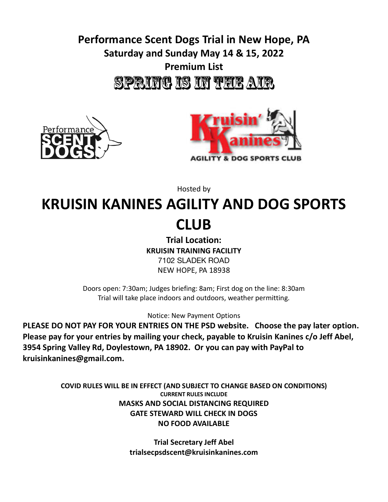## **Performance Scent Dogs Trial in New Hope, PA Saturday and Sunday May 14 & 15, 2022 Premium List** SPRING IS IN THE AIR





Hosted by

# **KRUISIN KANINES AGILITY AND DOG SPORTS CLUB**

**Trial Location: KRUISIN TRAINING FACILITY** 7102 SLADEK ROAD NEW HOPE, PA 18938

Doors open: 7:30am; Judges briefing: 8am; First dog on the line: 8:30am Trial will take place indoors and outdoors, weather permitting.

Notice: New Payment Options

**PLEASE DO NOT PAY FOR YOUR ENTRIES ON THE PSD website. Choose the pay later option. Please pay for your entries by mailing your check, payable to Kruisin Kanines c/o Jeff Abel, 3954 Spring Valley Rd, Doylestown, PA 18902. Or you can pay with PayPal to kruisinkanines@gmail.com.**

> **COVID RULES WILL BE IN EFFECT (AND SUBJECT TO CHANGE BASED ON CONDITIONS) CURRENT RULES INCLUDE MASKS AND SOCIAL DISTANCING REQUIRED GATE STEWARD WILL CHECK IN DOGS NO FOOD AVAILABLE**

> > **Trial Secretary Jeff Abel trialsecpsdscent@kruisinkanines.com**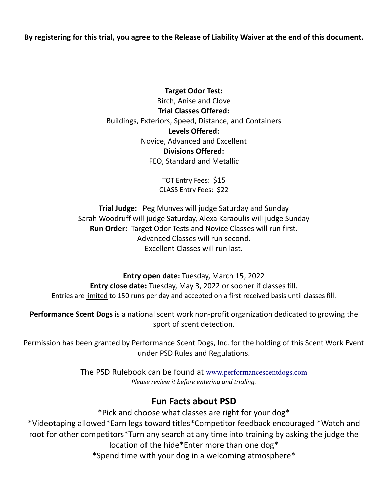By registering for this trial, you agree to the Release of Liability Waiver at the end of this document.

**Target Odor Test:** Birch, Anise and Clove **Trial Classes Offered:** Buildings, Exteriors, Speed, Distance, and Containers **Levels Offered:** Novice, Advanced and Excellent **Divisions Offered:** FEO, Standard and Metallic

> TOT Entry Fees: \$15 CLASS Entry Fees: \$22

**Trial Judge:** Peg Munves will judge Saturday and Sunday Sarah Woodruff will judge Saturday, Alexa Karaoulis will judge Sunday **Run Order:** Target Odor Tests and Novice Classes will run first. Advanced Classes will run second. Excellent Classes will run last.

**Entry open date:** Tuesday, March 15, 2022 **Entry close date:** Tuesday, May 3, 2022 or sooner if classes fill. Entries are limited to 150 runs per day and accepted on a first received basis until classes fill.

**Performance Scent Dogs** is a national scent work non-profit organization dedicated to growing the sport of scent detection.

Permission has been granted by Performance Scent Dogs, Inc. for the holding of this Scent Work Event under PSD Rules and Regulations.

> The PSD Rulebook can be found at www.performancescentdogs.com *Please review it before entering and trialing.*

## **Fun Facts about PSD**

\*Pick and choose what classes are right for your dog\* \*Videotaping allowed\*Earn legs toward titles\*Competitor feedback encouraged \*Watch and root for other competitors\*Turn any search at any time into training by asking the judge the location of the hide\*Enter more than one dog\*

\*Spend time with your dog in a welcoming atmosphere\*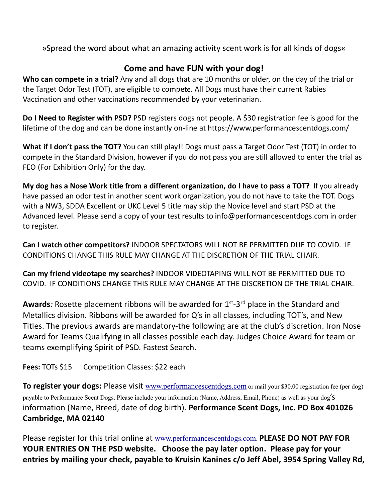»Spread the word about what an amazing activity scent work is for all kinds of dogs«

### **Come and have FUN with your dog!**

**Who can compete in a trial?** Any and all dogs that are 10 months or older, on the day of the trial or the Target Odor Test (TOT), are eligible to compete. All Dogs must have their current Rabies Vaccination and other vaccinations recommended by your veterinarian.

**Do I Need to Register with PSD?** PSD registers dogs not people. A \$30 registration fee is good for the lifetime of the dog and can be done instantly on-line at https://www.performancescentdogs.com/

**What if I don't pass the TOT?** You can still play!! Dogs must pass a Target Odor Test (TOT) in order to compete in the Standard Division, however if you do not pass you are still allowed to enter the trial as FEO (For Exhibition Only) for the day.

My dog has a Nose Work title from a different organization, do I have to pass a TOT? If you already have passed an odor test in another scent work organization, you do not have to take the TOT. Dogs with a NW3, SDDA Excellent or UKC Level 5 title may skip the Novice level and start PSD at the Advanced level. Please send a copy of your test results to info@performancescentdogs.com in order to register.

**Can I watch other competitors?** INDOOR SPECTATORS WILL NOT BE PERMITTED DUE TO COVID. IF CONDITIONS CHANGE THIS RULE MAY CHANGE AT THE DISCRETION OF THE TRIAL CHAIR.

**Can my friend videotape my searches?** INDOOR VIDEOTAPING WILL NOT BE PERMITTED DUE TO COVID. IF CONDITIONS CHANGE THIS RULE MAY CHANGE AT THE DISCRETION OF THE TRIAL CHAIR.

Awards: Rosette placement ribbons will be awarded for 1<sup>st</sup>-3<sup>rd</sup> place in the Standard and Metallics division. Ribbons will be awarded for Q's in all classes, including TOT's, and New Titles. The previous awards are mandatory-the following are at the club's discretion. Iron Nose Award for Teams Qualifying in all classes possible each day. Judges Choice Award for team or teams exemplifying Spirit of PSD. Fastest Search.

**Fees:** TOTs \$15 Competition Classes: \$22 each

**To register your dogs:** Please visit www.performancescentdogs.com or mail your \$30.00 registration fee (per dog) payable to Performance Scent Dogs. Please include your information (Name, Address, Email, Phone) as well as your dog'S information (Name, Breed, date of dog birth). **Performance Scent Dogs, Inc. PO Box 401026 Cambridge, MA 02140**

Please register for this trial online at www.performancescentdogs.com. **PLEASE DO NOT PAY FOR YOUR ENTRIES ON THE PSD website. Choose the pay later option. Please pay for your entries by mailing your check, payable to Kruisin Kanines c/o Jeff Abel, 3954 Spring Valley Rd,**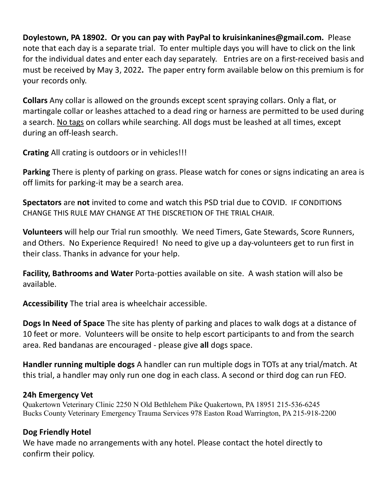**Doylestown, PA 18902. Or you can pay with PayPal to kruisinkanines@gmail.com.** Please note that each day is a separate trial. To enter multiple days you will have to click on the link for the individual dates and enter each day separately. Entries are on a first-received basis and must be received by May 3, 2022**.** The paper entry form available below on this premium is for your records only.

**Collars** Any collar is allowed on the grounds except scent spraying collars. Only a flat, or martingale collar or leashes attached to a dead ring or harness are permitted to be used during a search. No tags on collars while searching. All dogs must be leashed at all times, except during an off-leash search.

**Crating** All crating is outdoors or in vehicles!!!

**Parking** There is plenty of parking on grass. Please watch for cones or signs indicating an area is off limits for parking-it may be a search area.

**Spectators** are **not** invited to come and watch this PSD trial due to COVID. IF CONDITIONS CHANGE THIS RULE MAY CHANGE AT THE DISCRETION OF THE TRIAL CHAIR.

**Volunteers** will help our Trial run smoothly. We need Timers, Gate Stewards, Score Runners, and Others. No Experience Required! No need to give up a day-volunteers get to run first in their class. Thanks in advance for your help.

**Facility, Bathrooms and Water** Porta-potties available on site. A wash station will also be available.

**Accessibility** The trial area is wheelchair accessible.

**Dogs In Need of Space** The site has plenty of parking and places to walk dogs at a distance of 10 feet or more. Volunteers will be onsite to help escort participants to and from the search area. Red bandanas are encouraged - please give **all** dogs space.

**Handler running multiple dogs** A handler can run multiple dogs in TOTs at any trial/match. At this trial, a handler may only run one dog in each class. A second or third dog can run FEO.

#### **24h Emergency Vet**

Quakertown Veterinary Clinic 2250 N Old Bethlehem Pike Quakertown, PA 18951 215-536-6245 Bucks County Veterinary Emergency Trauma Services 978 Easton Road Warrington, PA 215-918-2200

#### **Dog Friendly Hotel**

We have made no arrangements with any hotel. Please contact the hotel directly to confirm their policy.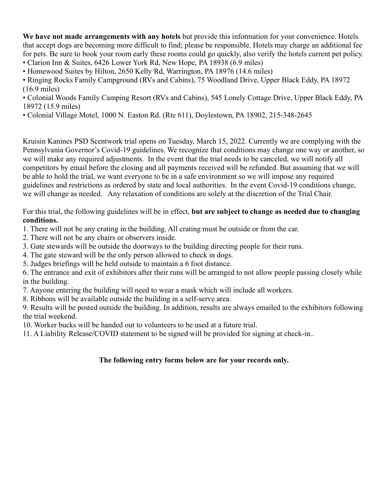**We have not made arrangements with any hotels** but provide this information for your convenience. Hotels that accept dogs are becoming more difficult to find; please be responsible. Hotels may charge an additional fee for pets. Be sure to book your room early these rooms could go quickly, also verify the hotels current pet policy. • Clarion Inn & Suites, 6426 Lower York Rd, New Hope, PA 18938 (6.9 miles)

• Homewood Suites by Hilton, 2650 Kelly Rd, Warrington, PA 18976 (14.6 miles)

• Ringing Rocks Family Campground (RVs and Cabins), 75 Woodland Drive, Upper Black Eddy, PA 18972 (16.9 miles)

• Colonial Woods Family Camping Resort (RVs and Cabins), 545 Lonely Cottage Drive, Upper Black Eddy, PA 18972 (15.9 miles)

• Colonial Village Motel, 1000 N. Easton Rd. (Rte 611), Doylestown, PA 18902, 215-348-2645

Kruisin Kanines PSD Scentwork trial opens on Tuesday, March 15, 2022. Currently we are complying with the Pennsylvania Governor's Covid-19 guidelines. We recognize that conditions may change one way or another, so we will make any required adjustments. In the event that the trial needs to be canceled, we will notify all competitors by email before the closing and all payments received will be refunded. But assuming that we will be able to hold the trial, we want everyone to be in a safe environment so we will impose any required guidelines and restrictions as ordered by state and local authorities. In the event Covid-19 conditions change, we will change as needed. Any relaxation of conditions are solely at the discretion of the Trial Chair.

For this trial, the following guidelines will be in effect, **but are subject to change as needed due to changing conditions.**

1. There will not be any crating in the building. All crating must be outside or from the car.

- 2. There will not be any chairs or observers inside.
- 3. Gate stewards will be outside the doorways to the building directing people for their runs.
- 4. The gate steward will be the only person allowed to check in dogs.

5. Judges briefings will be held outside to maintain a 6 foot distance.

6. The entrance and exit of exhibitors after their runs will be arranged to not allow people passing closely while in the building.

7. Anyone entering the building will need to wear a mask which will include all workers.

8. Ribbons will be available outside the building in a self-serve area.

9. Results will be posted outside the building. In addition, results are always emailed to the exhibitors following the trial weekend.

10. Worker bucks will be handed out to volunteers to be used at a future trial.

11. A Liability Release/COVID statement to be signed will be provided for signing at check-in..

#### **The following entry forms below are for your records only.**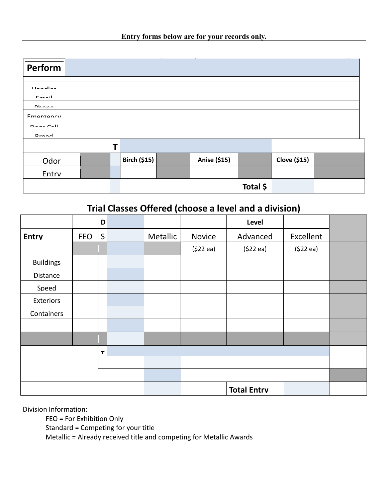|  |  | Entry forms below are for your records only. |  |
|--|--|----------------------------------------------|--|
|  |  |                                              |  |

| Perform                 |  |   |                     |              |          |                     |  |
|-------------------------|--|---|---------------------|--------------|----------|---------------------|--|
| <b>Handler</b>          |  |   |                     |              |          |                     |  |
| $P = 1$<br><b>Dhann</b> |  |   |                     |              |          |                     |  |
| Emargancy               |  |   |                     |              |          |                     |  |
| $D = -2$                |  |   |                     |              |          |                     |  |
| Drood                   |  |   |                     |              |          |                     |  |
|                         |  | Τ |                     |              |          |                     |  |
| Odor                    |  |   | <b>Birch (\$15)</b> | Anise (\$15) |          | <b>Clove (\$15)</b> |  |
| Entry                   |  |   |                     |              |          |                     |  |
|                         |  |   |                     |              | Total \$ |                     |  |

## **t Trial Classes Offered (choose a level and a division)**

|                  |            |             | - - - - - - - | $\sim$ $\sim$ $\sim$ $\sim$ | - - - - - | .                  | $\sim$ $\sim$ $\sim$ $\sim$ |  |
|------------------|------------|-------------|---------------|-----------------------------|-----------|--------------------|-----------------------------|--|
|                  |            | D           |               |                             |           | Level              |                             |  |
| <b>Entrv</b>     | <b>FEO</b> | S           |               | Metallic                    | Novice    | Advanced           | Excellent                   |  |
|                  |            |             |               |                             | (522 ea)  | (522 ea)           | (522 ea)                    |  |
| <b>Buildings</b> |            |             |               |                             |           |                    |                             |  |
| Distance         |            |             |               |                             |           |                    |                             |  |
| Speed            |            |             |               |                             |           |                    |                             |  |
| Exteriors        |            |             |               |                             |           |                    |                             |  |
| Containers       |            |             |               |                             |           |                    |                             |  |
|                  |            |             |               |                             |           |                    |                             |  |
|                  |            |             |               |                             |           |                    |                             |  |
|                  |            | $\mathbf r$ |               |                             |           |                    |                             |  |
|                  |            |             |               |                             |           |                    |                             |  |
|                  |            |             |               |                             |           |                    |                             |  |
|                  |            |             |               |                             |           | <b>Total Entry</b> |                             |  |

Division Information:

**u** FEO = For Exhibition Only

**n** Standard = Competing for your title

**e**

**s** Metallic = Already received title and competing for Metallic Awards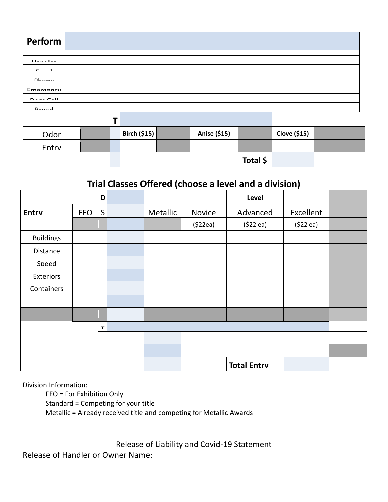| Perform               |   |                     |              |          |                     |  |
|-----------------------|---|---------------------|--------------|----------|---------------------|--|
|                       |   |                     |              |          |                     |  |
| <b>Handley</b>        |   |                     |              |          |                     |  |
| $\Gamma_{\rm max}=11$ |   |                     |              |          |                     |  |
| Dhana                 |   |                     |              |          |                     |  |
| <b>Fmorgonry</b>      |   |                     |              |          |                     |  |
| $D = 22$              |   |                     |              |          |                     |  |
| Desad                 |   |                     |              |          |                     |  |
|                       | Т |                     |              |          |                     |  |
| Odor                  |   | <b>Birch (\$15)</b> | Anise (\$15) |          | <b>Clove (\$15)</b> |  |
| Entry                 |   |                     |              |          |                     |  |
|                       |   |                     |              | Total \$ |                     |  |
|                       |   |                     |              |          |                     |  |

## **t Trial Classes Offered (choose a level and a division)**

| <b>That Classes Offered (Choose a level and a division)</b> |            |              |  |          |               |                    |           |  |  |  |
|-------------------------------------------------------------|------------|--------------|--|----------|---------------|--------------------|-----------|--|--|--|
|                                                             |            | D            |  |          |               | Level              |           |  |  |  |
| <b>Entrv</b>                                                | <b>FEO</b> | $\mathsf{S}$ |  | Metallic | <b>Novice</b> | Advanced           | Excellent |  |  |  |
|                                                             |            |              |  |          | (522ea)       | (522 ea)           | (522 ea)  |  |  |  |
| <b>Buildings</b>                                            |            |              |  |          |               |                    |           |  |  |  |
| Distance                                                    |            |              |  |          |               |                    |           |  |  |  |
| Speed                                                       |            |              |  |          |               |                    |           |  |  |  |
| Exteriors                                                   |            |              |  |          |               |                    |           |  |  |  |
| Containers                                                  |            |              |  |          |               |                    |           |  |  |  |
|                                                             |            |              |  |          |               |                    |           |  |  |  |
|                                                             |            |              |  |          |               |                    |           |  |  |  |
| $\mathbf r$                                                 |            |              |  |          |               |                    |           |  |  |  |
|                                                             |            |              |  |          |               |                    |           |  |  |  |
|                                                             |            |              |  |          |               |                    |           |  |  |  |
|                                                             |            |              |  |          |               | <b>Total Entrv</b> |           |  |  |  |

Division Information:

**u** FEO = For Exhibition Only **n** Standard = Competing for your title **s** Metallic = Already received title and competing for Metallic Awards

Release of Liability and Covid-19 Statement

**\_ \_** Release of Handler or Owner Name: \_\_\_\_\_\_\_\_\_\_\_\_\_\_\_\_\_\_\_\_\_\_\_\_\_\_\_\_\_\_\_\_\_\_\_\_\_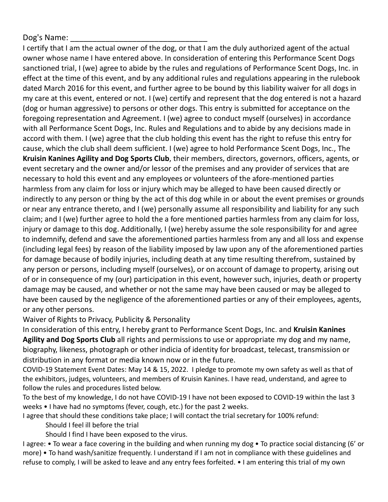#### Dog's Name:

I certify that I am the actual owner of the dog, or that I am the duly authorized agent of the actual owner whose name I have entered above. In consideration of entering this Performance Scent Dogs sanctioned trial, I (we) agree to abide by the rules and regulations of Performance Scent Dogs, Inc. in effect at the time of this event, and by any additional rules and regulations appearing in the rulebook dated March 2016 for this event, and further agree to be bound by this liability waiver for all dogs in my care at this event, entered or not. I (we) certify and represent that the dog entered is not a hazard (dog or human aggressive) to persons or other dogs. This entry is submitted for acceptance on the foregoing representation and Agreement. I (we) agree to conduct myself (ourselves) in accordance with all Performance Scent Dogs, Inc. Rules and Regulations and to abide by any decisions made in accord with them. I (we) agree that the club holding this event has the right to refuse this entry for cause, which the club shall deem sufficient. I (we) agree to hold Performance Scent Dogs, Inc., The **Kruisin Kanines Agility and Dog Sports Club**, their members, directors, governors, officers, agents, or event secretary and the owner and/or lessor of the premises and any provider of services that are necessary to hold this event and any employees or volunteers of the afore-mentioned parties harmless from any claim for loss or injury which may be alleged to have been caused directly or indirectly to any person or thing by the act of this dog while in or about the event premises or grounds or near any entrance thereto, and I (we) personally assume all responsibility and liability for any such claim; and I (we) further agree to hold the a fore mentioned parties harmless from any claim for loss, injury or damage to this dog. Additionally, I (we) hereby assume the sole responsibility for and agree to indemnify, defend and save the aforementioned parties harmless from any and all loss and expense (including legal fees) by reason of the liability imposed by law upon any of the aforementioned parties for damage because of bodily injuries, including death at any time resulting therefrom, sustained by any person or persons, including myself (ourselves), or on account of damage to property, arising out of or in consequence of my (our) participation in this event, however such, injuries, death or property damage may be caused, and whether or not the same may have been caused or may be alleged to have been caused by the negligence of the aforementioned parties or any of their employees, agents, or any other persons.

#### Waiver of Rights to Privacy, Publicity & Personality

In consideration of this entry, I hereby grant to Performance Scent Dogs, Inc. and **Kruisin Kanines Agility and Dog Sports Club** all rights and permissions to use or appropriate my dog and my name, biography, likeness, photograph or other indicia of identity for broadcast, telecast, transmission or distribution in any format or media known now or in the future.

COVID-19 Statement Event Dates: May 14 & 15, 2022. I pledge to promote my own safety as well as that of the exhibitors, judges, volunteers, and members of Kruisin Kanines. I have read, understand, and agree to follow the rules and procedures listed below.

To the best of my knowledge, I do not have COVID-19 I have not been exposed to COVID-19 within the last 3 weeks • I have had no symptoms (fever, cough, etc.) for the past 2 weeks.

I agree that should these conditions take place; I will contact the trial secretary for 100% refund:

Should I feel ill before the trial

Should I find I have been exposed to the virus.

I agree: • To wear a face covering in the building and when running my dog • To practice social distancing (6' or more) • To hand wash/sanitize frequently. I understand if I am not in compliance with these guidelines and refuse to comply, I will be asked to leave and any entry fees forfeited. • I am entering this trial of my own